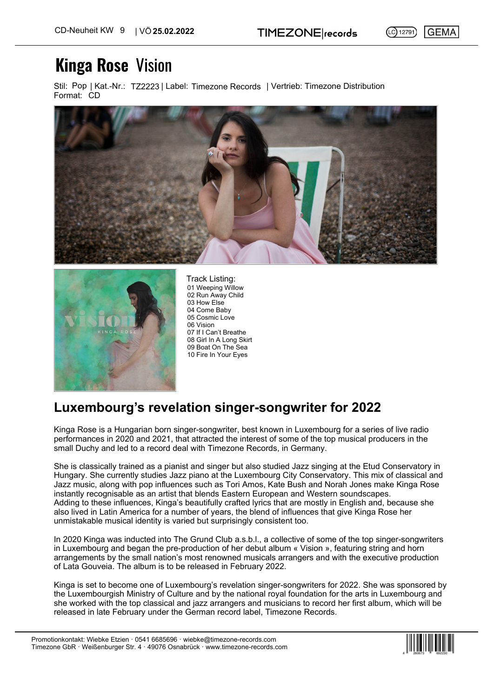$(C)$  12791) **GEMA** 

## **Kinga Rose** Vision

Stil: Pop | Kat.-Nr.: TZ2223 | Label: Timezone Records | Vertrieb: Timezone Distribution Format: CD





01 Weeping Willow 02 Run Away Child 03 How Else 04 Come Baby 05 Cosmic Love 06 Vision 07 If I Can't Breathe 08 Girl In A Long Skirt 09 Boat On The Sea 10 Fire In Your Eyes Track Listing:

## **Luxembourg's revelation singer-songwriter for 2022**

Kinga Rose is a Hungarian born singer-songwriter, best known in Luxembourg for a series of live radio performances in 2020 and 2021, that attracted the interest of some of the top musical producers in the small Duchy and led to a record deal with Timezone Records, in Germany.

She is classically trained as a pianist and singer but also studied Jazz singing at the Etud Conservatory in Hungary. She currently studies Jazz piano at the Luxembourg City Conservatory. This mix of classical and Jazz music, along with pop influences such as Tori Amos, Kate Bush and Norah Jones make Kinga Rose instantly recognisable as an artist that blends Eastern European and Western soundscapes. Adding to these influences, Kinga's beautifully crafted lyrics that are mostly in English and, because she also lived in Latin America for a number of years, the blend of influences that give Kinga Rose her unmistakable musical identity is varied but surprisingly consistent too.

In 2020 Kinga was inducted into The Grund Club a.s.b.l., a collective of some of the top singer-songwriters in Luxembourg and began the pre-production of her debut album « Vision », featuring string and horn arrangements by the small nation's most renowned musicals arrangers and with the executive production of Lata Gouveia. The album is to be released in February 2022.

Kinga is set to become one of Luxembourg's revelation singer-songwriters for 2022. She was sponsored by the Luxembourgish Ministry of Culture and by the national royal foundation for the arts in Luxembourg and she worked with the top classical and jazz arrangers and musicians to record her first album, which will be released in late February under the German record label, Timezone Records.

4 260673 692230